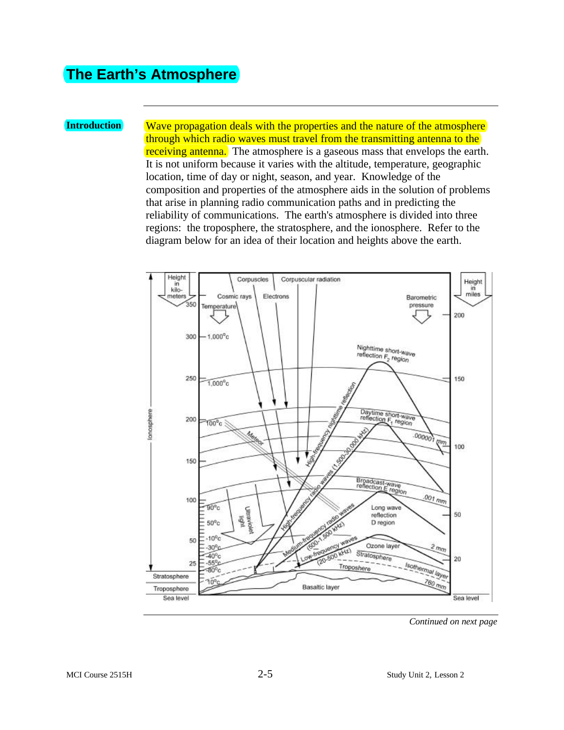### **The Earth's Atmosphere**

**Introduction** Wave propagation deals with the properties and the nature of the atmosphere through which radio waves must travel from the transmitting antenna to the receiving antenna. The atmosphere is a gaseous mass that envelops the earth. It is not uniform because it varies with the altitude, temperature, geographic location, time of day or night, season, and year. Knowledge of the composition and properties of the atmosphere aids in the solution of problems that arise in planning radio communication paths and in predicting the reliability of communications. The earth's atmosphere is divided into three regions: the troposphere, the stratosphere, and the ionosphere. Refer to the diagram below for an idea of their location and heights above the earth.



*Continued on next page*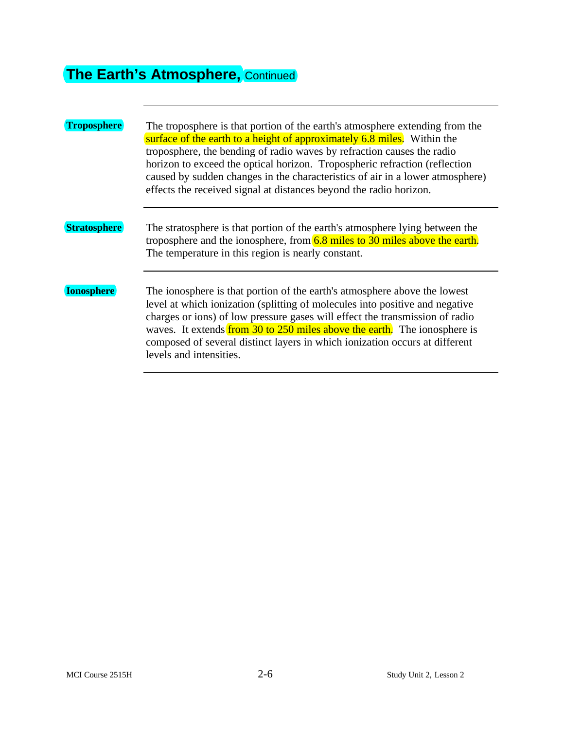# **The Earth's Atmosphere, Continued**

| <b>Troposphere</b>  | The troposphere is that portion of the earth's atmosphere extending from the<br>surface of the earth to a height of approximately 6.8 miles. Within the<br>troposphere, the bending of radio waves by refraction causes the radio<br>horizon to exceed the optical horizon. Tropospheric refraction (reflection<br>caused by sudden changes in the characteristics of air in a lower atmosphere)<br>effects the received signal at distances beyond the radio horizon. |
|---------------------|------------------------------------------------------------------------------------------------------------------------------------------------------------------------------------------------------------------------------------------------------------------------------------------------------------------------------------------------------------------------------------------------------------------------------------------------------------------------|
| <b>Stratosphere</b> | The stratosphere is that portion of the earth's atmosphere lying between the<br>troposphere and the ionosphere, from $6.8$ miles to 30 miles above the earth.<br>The temperature in this region is nearly constant.                                                                                                                                                                                                                                                    |
| <b>Ionosphere</b>   | The ionosphere is that portion of the earth's atmosphere above the lowest<br>level at which ionization (splitting of molecules into positive and negative<br>charges or ions) of low pressure gases will effect the transmission of radio<br>waves. It extends from 30 to 250 miles above the earth. The ionosphere is<br>composed of several distinct layers in which ionization occurs at different<br>levels and intensities.                                       |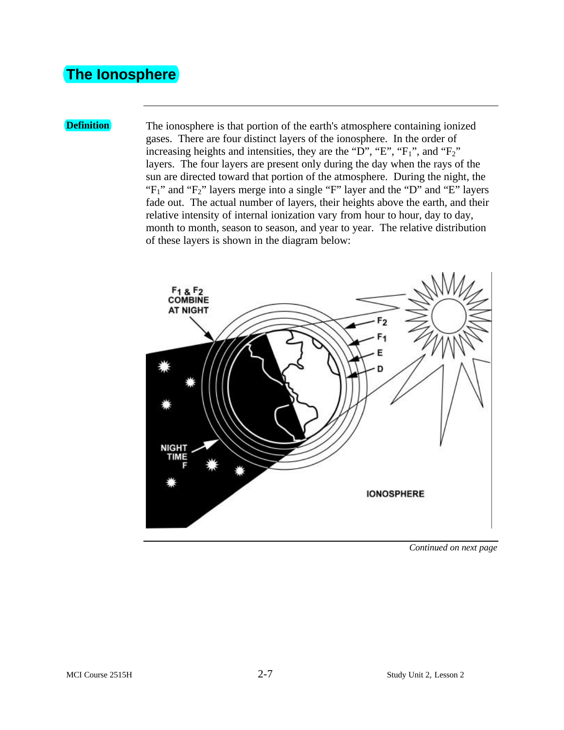### **The Ionosphere**

**Definition** The ionosphere is that portion of the earth's atmosphere containing ionized gases. There are four distinct layers of the ionosphere. In the order of increasing heights and intensities, they are the "D", "E", "F<sub>1</sub>", and "F<sub>2</sub>" layers. The four layers are present only during the day when the rays of the sun are directed toward that portion of the atmosphere. During the night, the " $F_1$ " and " $F_2$ " layers merge into a single "F" layer and the "D" and "E" layers fade out. The actual number of layers, their heights above the earth, and their relative intensity of internal ionization vary from hour to hour, day to day, month to month, season to season, and year to year. The relative distribution of these layers is shown in the diagram below:

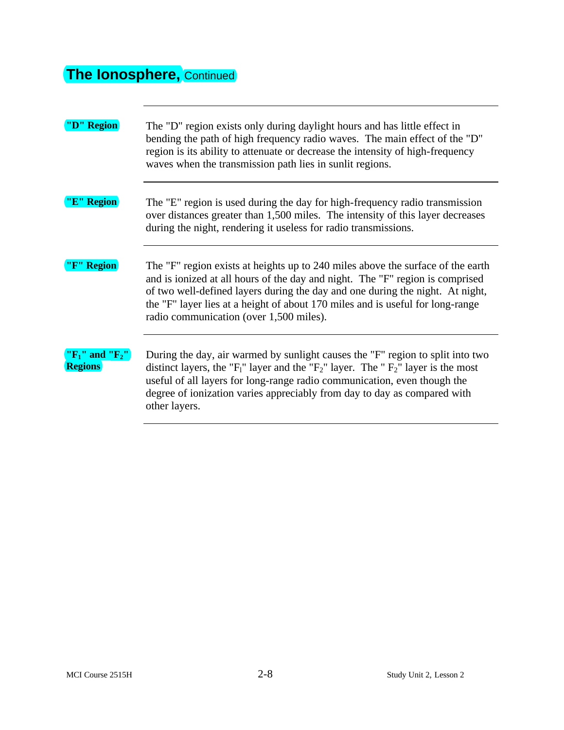## **The Ionosphere,** Continued

| "D" Region                                | The "D" region exists only during daylight hours and has little effect in<br>bending the path of high frequency radio waves. The main effect of the "D"<br>region is its ability to attenuate or decrease the intensity of high-frequency<br>waves when the transmission path lies in sunlit regions.                                                                            |
|-------------------------------------------|----------------------------------------------------------------------------------------------------------------------------------------------------------------------------------------------------------------------------------------------------------------------------------------------------------------------------------------------------------------------------------|
| "E" Region                                | The "E" region is used during the day for high-frequency radio transmission<br>over distances greater than 1,500 miles. The intensity of this layer decreases<br>during the night, rendering it useless for radio transmissions.                                                                                                                                                 |
| "F" Region                                | The "F" region exists at heights up to 240 miles above the surface of the earth<br>and is ionized at all hours of the day and night. The "F" region is comprised<br>of two well-defined layers during the day and one during the night. At night,<br>the "F" layer lies at a height of about 170 miles and is useful for long-range<br>radio communication (over 1,500 miles).   |
| " $F_1$ " and " $F_2$ "<br><b>Regions</b> | During the day, air warmed by sunlight causes the "F" region to split into two<br>distinct layers, the "F <sub>1</sub> " layer and the "F <sub>2</sub> " layer. The "F <sub>2</sub> " layer is the most<br>useful of all layers for long-range radio communication, even though the<br>degree of ionization varies appreciably from day to day as compared with<br>other layers. |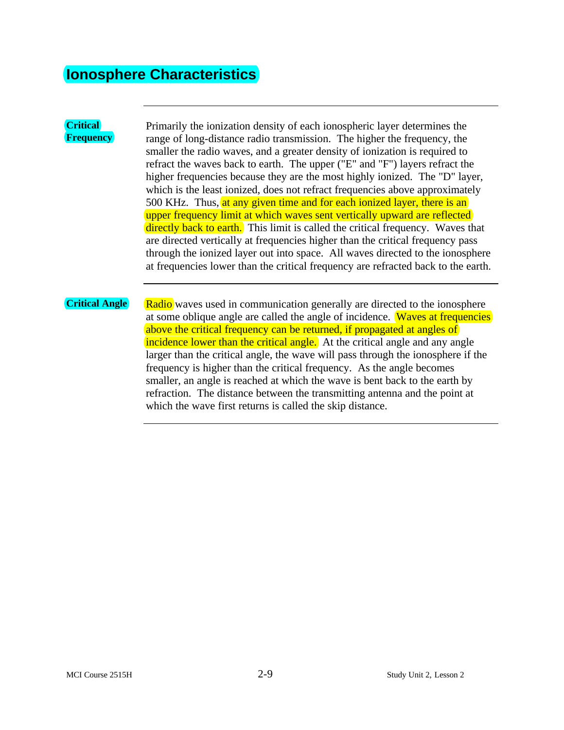### **Ionosphere Characteristics**

#### **Critical Frequency**

Primarily the ionization density of each ionospheric layer determines the range of long-distance radio transmission. The higher the frequency, the smaller the radio waves, and a greater density of ionization is required to refract the waves back to earth. The upper ("E" and "F") layers refract the higher frequencies because they are the most highly ionized. The "D" layer, which is the least ionized, does not refract frequencies above approximately 500 KHz. Thus, at any given time and for each ionized layer, there is an upper frequency limit at which waves sent vertically upward are reflected directly back to earth. This limit is called the critical frequency. Waves that are directed vertically at frequencies higher than the critical frequency pass through the ionized layer out into space. All waves directed to the ionosphere at frequencies lower than the critical frequency are refracted back to the earth.

**Critical Angle** Radio waves used in communication generally are directed to the ionosphere at some oblique angle are called the angle of incidence. Waves at frequencies above the critical frequency can be returned, if propagated at angles of incidence lower than the critical angle. At the critical angle and any angle larger than the critical angle, the wave will pass through the ionosphere if the frequency is higher than the critical frequency. As the angle becomes smaller, an angle is reached at which the wave is bent back to the earth by refraction. The distance between the transmitting antenna and the point at which the wave first returns is called the skip distance.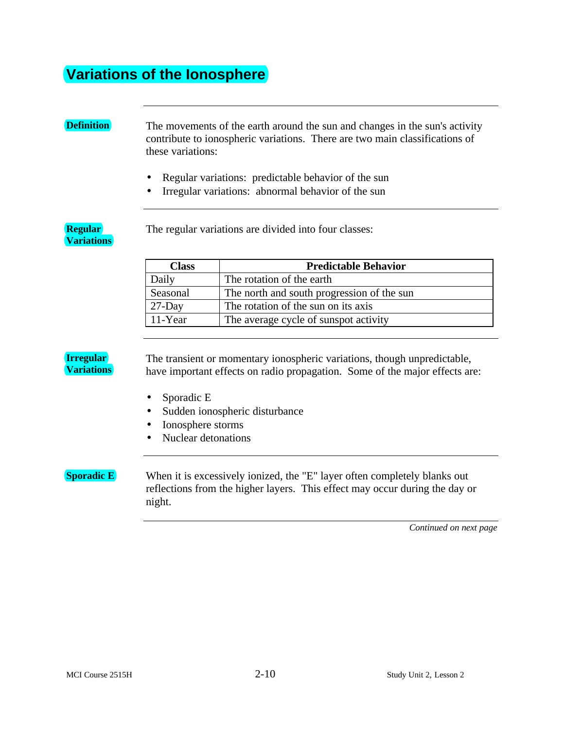### **Variations of the Ionosphere**

**Definition** The movements of the earth around the sun and changes in the sun's activity contribute to ionospheric variations. There are two main classifications of these variations:

- Regular variations: predictable behavior of the sun
- Irregular variations: abnormal behavior of the sun

**Regular Variations** The regular variations are divided into four classes:

#### **Class Predictable Behavior** Daily The rotation of the earth Seasonal The north and south progression of the sun  $27$ -Day The rotation of the sun on its axis 11-Year The average cycle of sunspot activity

#### **Irregular Variations**

The transient or momentary ionospheric variations, though unpredictable, have important effects on radio propagation. Some of the major effects are:

- Sporadic E
- Sudden ionospheric disturbance
- Ionosphere storms
- Nuclear detonations

**Sporadic E** When it is excessively ionized, the "E" layer often completely blanks out reflections from the higher layers. This effect may occur during the day or night.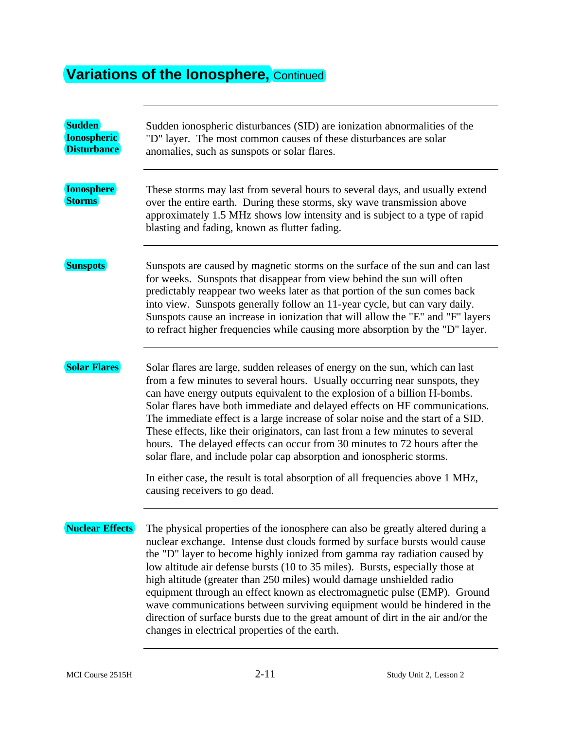# **Variations of the lonosphere, Continued**

| <b>Sudden</b><br><b>Ionospheric</b><br><b>Disturbance</b> | Sudden ionospheric disturbances (SID) are ionization abnormalities of the<br>"D" layer. The most common causes of these disturbances are solar<br>anomalies, such as sunspots or solar flares.                                                                                                                                                                                                                                                                                                                                                                                                                                                                                                    |
|-----------------------------------------------------------|---------------------------------------------------------------------------------------------------------------------------------------------------------------------------------------------------------------------------------------------------------------------------------------------------------------------------------------------------------------------------------------------------------------------------------------------------------------------------------------------------------------------------------------------------------------------------------------------------------------------------------------------------------------------------------------------------|
| <b>Ionosphere</b><br><b>Storms</b>                        | These storms may last from several hours to several days, and usually extend<br>over the entire earth. During these storms, sky wave transmission above<br>approximately 1.5 MHz shows low intensity and is subject to a type of rapid<br>blasting and fading, known as flutter fading.                                                                                                                                                                                                                                                                                                                                                                                                           |
| <b>Sunspots</b>                                           | Sunspots are caused by magnetic storms on the surface of the sun and can last<br>for weeks. Sunspots that disappear from view behind the sun will often<br>predictably reappear two weeks later as that portion of the sun comes back<br>into view. Sunspots generally follow an 11-year cycle, but can vary daily.<br>Sunspots cause an increase in ionization that will allow the "E" and "F" layers<br>to refract higher frequencies while causing more absorption by the "D" layer.                                                                                                                                                                                                           |
| <b>Solar Flares</b>                                       | Solar flares are large, sudden releases of energy on the sun, which can last<br>from a few minutes to several hours. Usually occurring near sunspots, they<br>can have energy outputs equivalent to the explosion of a billion H-bombs.<br>Solar flares have both immediate and delayed effects on HF communications.<br>The immediate effect is a large increase of solar noise and the start of a SID.<br>These effects, like their originators, can last from a few minutes to several<br>hours. The delayed effects can occur from 30 minutes to 72 hours after the<br>solar flare, and include polar cap absorption and ionospheric storms.                                                  |
|                                                           | In either case, the result is total absorption of all frequencies above 1 MHz,<br>causing receivers to go dead.                                                                                                                                                                                                                                                                                                                                                                                                                                                                                                                                                                                   |
| <b>Nuclear Effects</b>                                    | The physical properties of the ionosphere can also be greatly altered during a<br>nuclear exchange. Intense dust clouds formed by surface bursts would cause<br>the "D" layer to become highly ionized from gamma ray radiation caused by<br>low altitude air defense bursts (10 to 35 miles). Bursts, especially those at<br>high altitude (greater than 250 miles) would damage unshielded radio<br>equipment through an effect known as electromagnetic pulse (EMP). Ground<br>wave communications between surviving equipment would be hindered in the<br>direction of surface bursts due to the great amount of dirt in the air and/or the<br>changes in electrical properties of the earth. |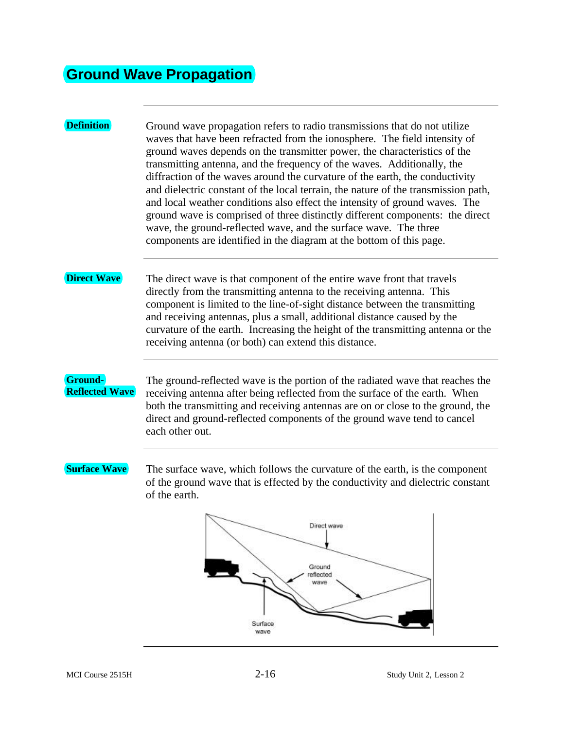### **Ground Wave Propagation**

#### **Definition** Ground wave propagation refers to radio transmissions that do not utilize waves that have been refracted from the ionosphere. The field intensity of ground waves depends on the transmitter power, the characteristics of the transmitting antenna, and the frequency of the waves. Additionally, the diffraction of the waves around the curvature of the earth, the conductivity and dielectric constant of the local terrain, the nature of the transmission path, and local weather conditions also effect the intensity of ground waves. The ground wave is comprised of three distinctly different components: the direct wave, the ground-reflected wave, and the surface wave. The three components are identified in the diagram at the bottom of this page. **Direct Wave** The direct wave is that component of the entire wave front that travels directly from the transmitting antenna to the receiving antenna. This component is limited to the line-of-sight distance between the transmitting and receiving antennas, plus a small, additional distance caused by the curvature of the earth. Increasing the height of the transmitting antenna or the receiving antenna (or both) can extend this distance. **Ground-**The ground-reflected wave is the portion of the radiated wave that reaches the **Reflected Wave** receiving antenna after being reflected from the surface of the earth. When both the transmitting and receiving antennas are on or close to the ground, the direct and ground-reflected components of the ground wave tend to cancel each other out. **Surface Wave** The surface wave, which follows the curvature of the earth, is the component of the ground wave that is effected by the conductivity and dielectric constant of the earth.Direct wave Ground reflected wave

Surface wave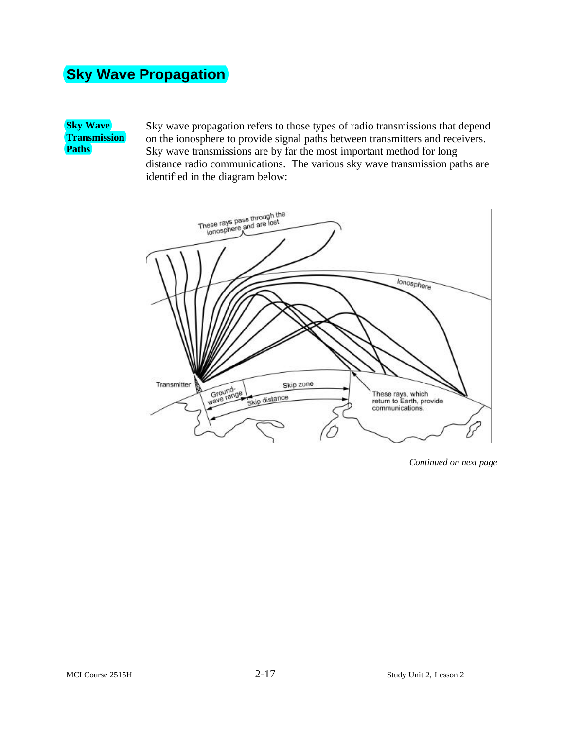## **Sky Wave Propagation**

**Sky Wave Transmission Paths**

Sky wave propagation refers to those types of radio transmissions that depend on the ionosphere to provide signal paths between transmitters and receivers. Sky wave transmissions are by far the most important method for long distance radio communications. The various sky wave transmission paths are identified in the diagram below:

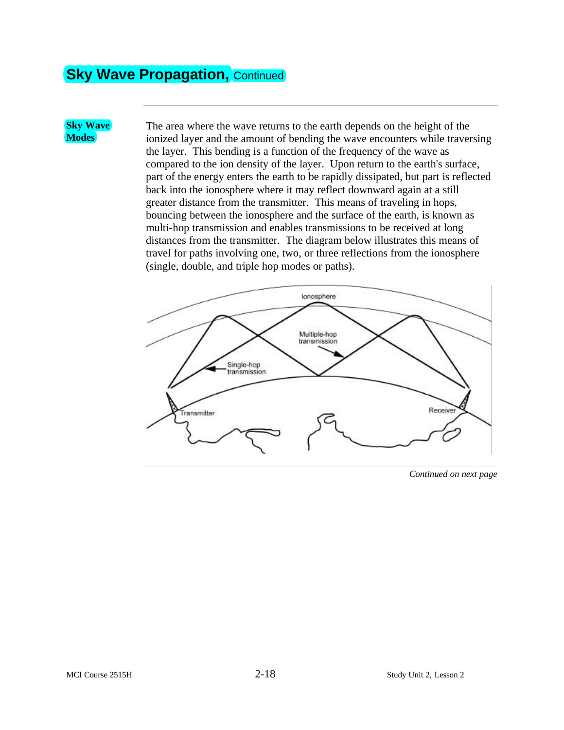### **Sky Wave Propagation, Continued**

**Sky Wave Modes**

The area where the wave returns to the earth depends on the height of the ionized layer and the amount of bending the wave encounters while traversing the layer. This bending is a function of the frequency of the wave as compared to the ion density of the layer. Upon return to the earth's surface, part of the energy enters the earth to be rapidly dissipated, but part is reflected back into the ionosphere where it may reflect downward again at a still greater distance from the transmitter. This means of traveling in hops, bouncing between the ionosphere and the surface of the earth, is known as multi-hop transmission and enables transmissions to be received at long distances from the transmitter. The diagram below illustrates this means of travel for paths involving one, two, or three reflections from the ionosphere (single, double, and triple hop modes or paths).



*Continued on next page*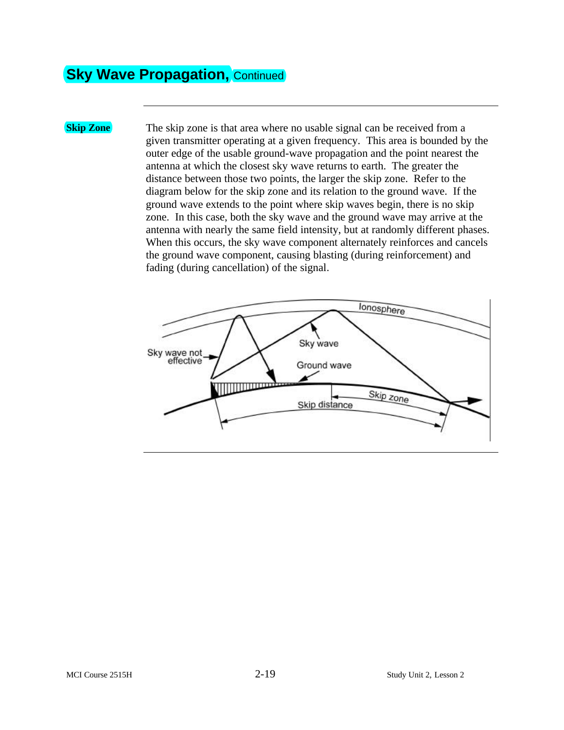### **Sky Wave Propagation, Continued**

**Skip Zone** The skip zone is that area where no usable signal can be received from a given transmitter operating at a given frequency. This area is bounded by the outer edge of the usable ground-wave propagation and the point nearest the antenna at which the closest sky wave returns to earth. The greater the distance between those two points, the larger the skip zone. Refer to the diagram below for the skip zone and its relation to the ground wave. If the ground wave extends to the point where skip waves begin, there is no skip zone. In this case, both the sky wave and the ground wave may arrive at the antenna with nearly the same field intensity, but at randomly different phases. When this occurs, the sky wave component alternately reinforces and cancels the ground wave component, causing blasting (during reinforcement) and fading (during cancellation) of the signal.

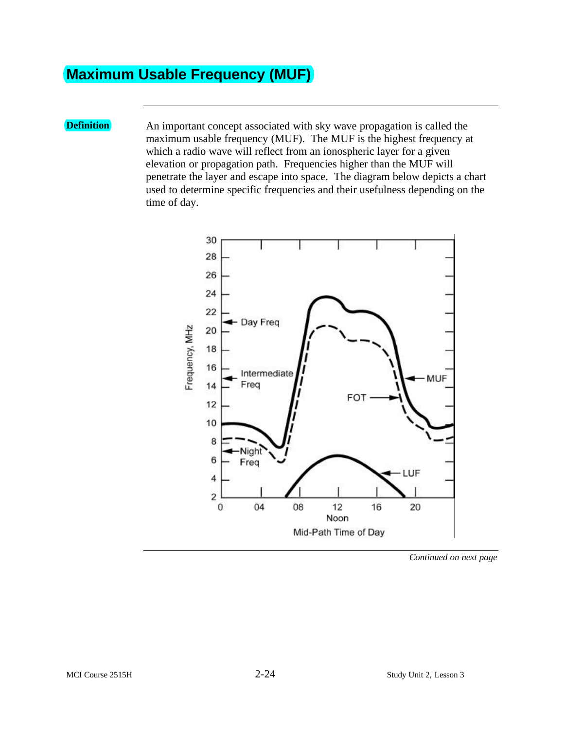## **Maximum Usable Frequency (MUF)**

**Definition** An important concept associated with sky wave propagation is called the maximum usable frequency (MUF). The MUF is the highest frequency at which a radio wave will reflect from an ionospheric layer for a given elevation or propagation path. Frequencies higher than the MUF will penetrate the layer and escape into space. The diagram below depicts a chart used to determine specific frequencies and their usefulness depending on the time of day.



*Continued on next page*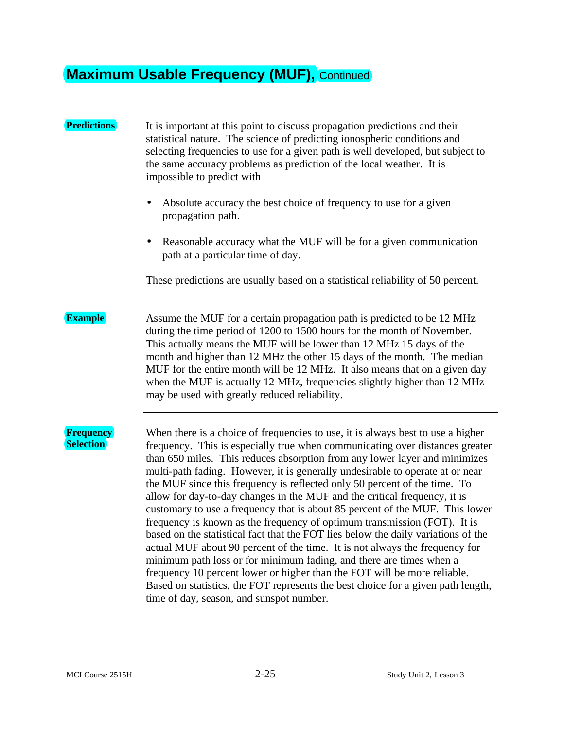### **Maximum Usable Frequency (MUF), Continued**

#### **Predictions** It is important at this point to discuss propagation predictions and their statistical nature. The science of predicting ionospheric conditions and selecting frequencies to use for a given path is well developed, but subject to the same accuracy problems as prediction of the local weather. It is impossible to predict with • Absolute accuracy the best choice of frequency to use for a given propagation path. • Reasonable accuracy what the MUF will be for a given communication path at a particular time of day. These predictions are usually based on a statistical reliability of 50 percent. **Example** Assume the MUF for a certain propagation path is predicted to be 12 MHz during the time period of 1200 to 1500 hours for the month of November. This actually means the MUF will be lower than 12 MHz 15 days of the month and higher than 12 MHz the other 15 days of the month. The median MUF for the entire month will be 12 MHz. It also means that on a given day when the MUF is actually 12 MHz, frequencies slightly higher than 12 MHz may be used with greatly reduced reliability. **Frequency Selection** When there is a choice of frequencies to use, it is always best to use a higher frequency. This is especially true when communicating over distances greater than 650 miles. This reduces absorption from any lower layer and minimizes multi-path fading. However, it is generally undesirable to operate at or near the MUF since this frequency is reflected only 50 percent of the time. To allow for day-to-day changes in the MUF and the critical frequency, it is customary to use a frequency that is about 85 percent of the MUF. This lower frequency is known as the frequency of optimum transmission (FOT). It is based on the statistical fact that the FOT lies below the daily variations of the actual MUF about 90 percent of the time. It is not always the frequency for minimum path loss or for minimum fading, and there are times when a frequency 10 percent lower or higher than the FOT will be more reliable. Based on statistics, the FOT represents the best choice for a given path length, time of day, season, and sunspot number.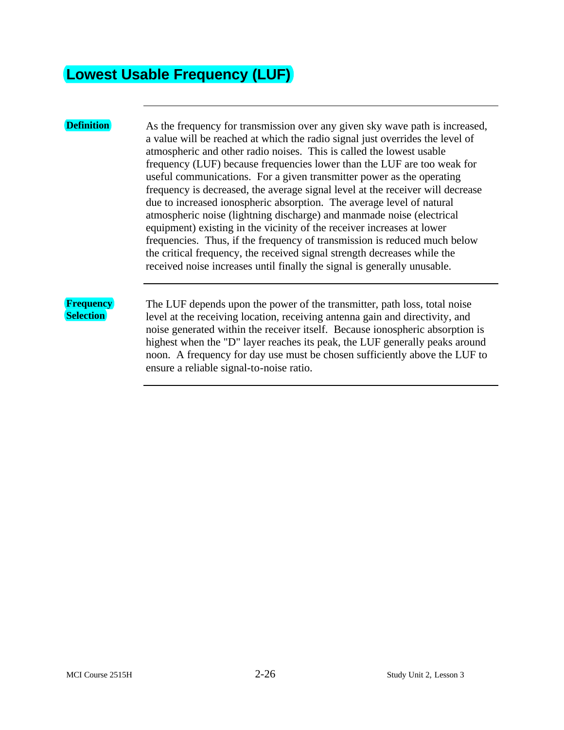### **Lowest Usable Frequency (LUF)**

**Definition** As the frequency for transmission over any given sky wave path is increased, a value will be reached at which the radio signal just overrides the level of atmospheric and other radio noises. This is called the lowest usable frequency (LUF) because frequencies lower than the LUF are too weak for useful communications. For a given transmitter power as the operating frequency is decreased, the average signal level at the receiver will decrease due to increased ionospheric absorption. The average level of natural atmospheric noise (lightning discharge) and manmade noise (electrical equipment) existing in the vicinity of the receiver increases at lower frequencies. Thus, if the frequency of transmission is reduced much below the critical frequency, the received signal strength decreases while the received noise increases until finally the signal is generally unusable.

#### **Frequency Selection**

The LUF depends upon the power of the transmitter, path loss, total noise level at the receiving location, receiving antenna gain and directivity, and noise generated within the receiver itself. Because ionospheric absorption is highest when the "D" layer reaches its peak, the LUF generally peaks around noon. A frequency for day use must be chosen sufficiently above the LUF to ensure a reliable signal-to-noise ratio.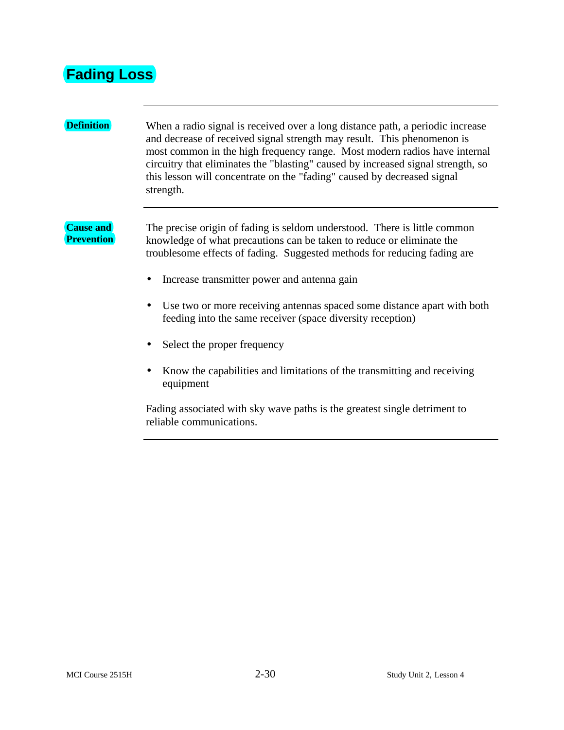### **Fading Loss**

### **Definition** When a radio signal is received over a long distance path, a periodic increase and decrease of received signal strength may result. This phenomenon is most common in the high frequency range. Most modern radios have internal circuitry that eliminates the "blasting" caused by increased signal strength, so this lesson will concentrate on the "fading" caused by decreased signal strength. **Cause and Prevention** The precise origin of fading is seldom understood. There is little common knowledge of what precautions can be taken to reduce or eliminate the troublesome effects of fading. Suggested methods for reducing fading are • Increase transmitter power and antenna gain • Use two or more receiving antennas spaced some distance apart with both feeding into the same receiver (space diversity reception) • Select the proper frequency • Know the capabilities and limitations of the transmitting and receiving equipment Fading associated with sky wave paths is the greatest single detriment to

reliable communications.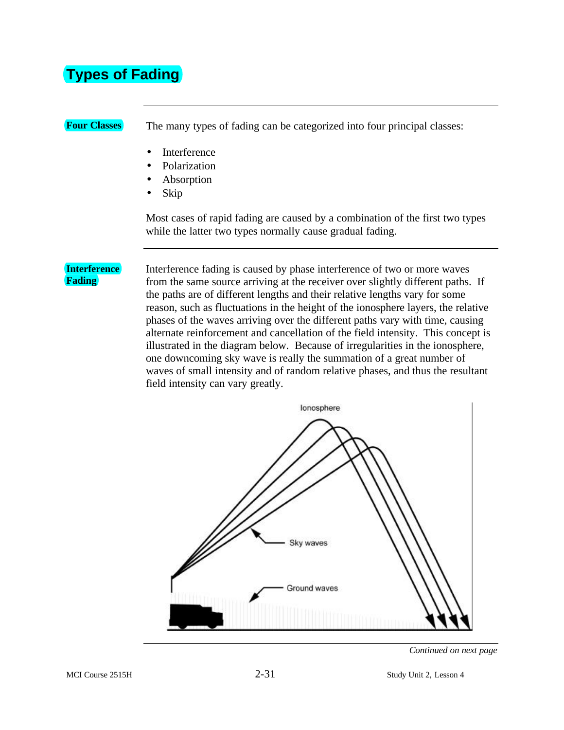## **Types of Fading**

**Four Classes** The many types of fading can be categorized into four principal classes:

- Interference
- Polarization
- Absorption
- Skip

Most cases of rapid fading are caused by a combination of the first two types while the latter two types normally cause gradual fading.

#### **Interference Fading**

Interference fading is caused by phase interference of two or more waves from the same source arriving at the receiver over slightly different paths. If the paths are of different lengths and their relative lengths vary for some reason, such as fluctuations in the height of the ionosphere layers, the relative phases of the waves arriving over the different paths vary with time, causing alternate reinforcement and cancellation of the field intensity. This concept is illustrated in the diagram below. Because of irregularities in the ionosphere, one downcoming sky wave is really the summation of a great number of waves of small intensity and of random relative phases, and thus the resultant field intensity can vary greatly.



*Continued on next page*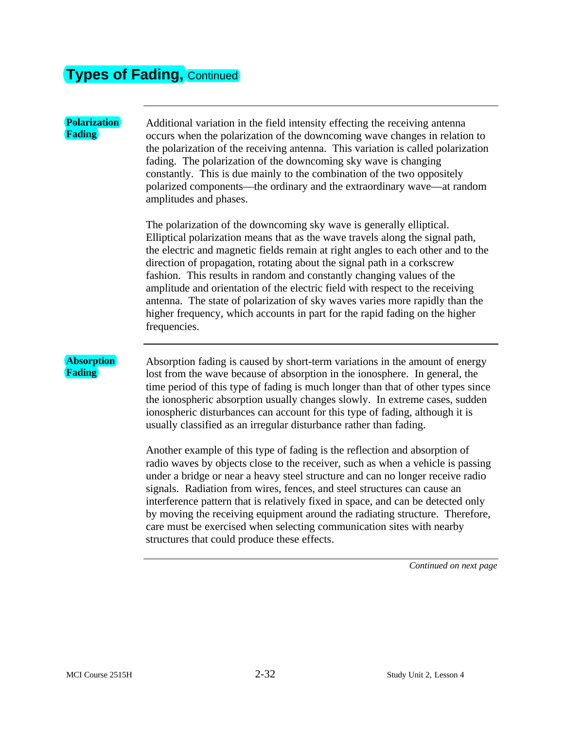# **Types of Fading,** Continued

| <b>Polarization</b><br>Fading | Additional variation in the field intensity effecting the receiving antenna<br>occurs when the polarization of the downcoming wave changes in relation to<br>the polarization of the receiving antenna. This variation is called polarization<br>fading. The polarization of the downcoming sky wave is changing<br>constantly. This is due mainly to the combination of the two oppositely<br>polarized components—the ordinary and the extraordinary wave—at random<br>amplitudes and phases.                                                                                                                                                               |
|-------------------------------|---------------------------------------------------------------------------------------------------------------------------------------------------------------------------------------------------------------------------------------------------------------------------------------------------------------------------------------------------------------------------------------------------------------------------------------------------------------------------------------------------------------------------------------------------------------------------------------------------------------------------------------------------------------|
|                               | The polarization of the downcoming sky wave is generally elliptical.<br>Elliptical polarization means that as the wave travels along the signal path,<br>the electric and magnetic fields remain at right angles to each other and to the<br>direction of propagation, rotating about the signal path in a corkscrew<br>fashion. This results in random and constantly changing values of the<br>amplitude and orientation of the electric field with respect to the receiving<br>antenna. The state of polarization of sky waves varies more rapidly than the<br>higher frequency, which accounts in part for the rapid fading on the higher<br>frequencies. |
| <b>Absorption</b><br>Fading   | Absorption fading is caused by short-term variations in the amount of energy<br>lost from the wave because of absorption in the ionosphere. In general, the<br>time period of this type of fading is much longer than that of other types since<br>the ionospheric absorption usually changes slowly. In extreme cases, sudden<br>ionospheric disturbances can account for this type of fading, although it is<br>usually classified as an irregular disturbance rather than fading.                                                                                                                                                                          |
|                               | Another example of this type of fading is the reflection and absorption of<br>radio waves by objects close to the receiver, such as when a vehicle is passing<br>under a bridge or near a heavy steel structure and can no longer receive radio<br>signals. Radiation from wires, fences, and steel structures can cause an<br>interference pattern that is relatively fixed in space, and can be detected only<br>by moving the receiving equipment around the radiating structure. Therefore,<br>care must be exercised when selecting communication sites with nearby<br>structures that could produce these effects.                                      |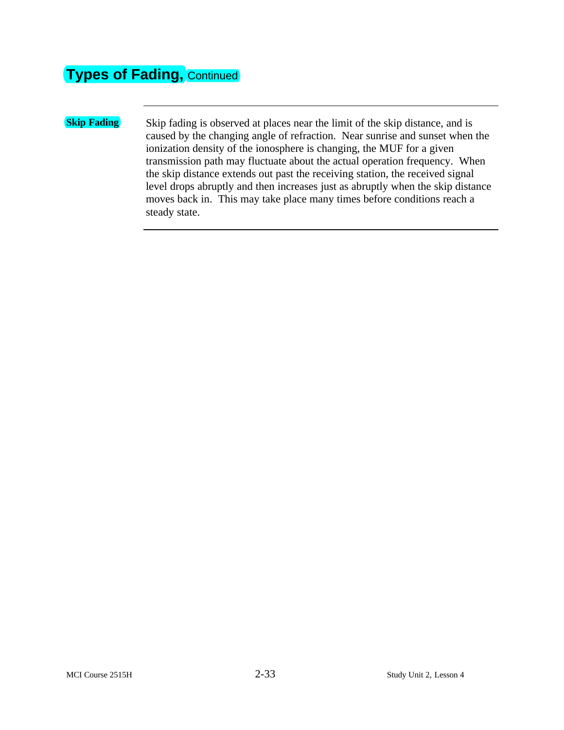## **Types of Fading, Continued**

**Skip Fading** Skip fading is observed at places near the limit of the skip distance, and is caused by the changing angle of refraction. Near sunrise and sunset when the ionization density of the ionosphere is changing, the MUF for a given transmission path may fluctuate about the actual operation frequency. When the skip distance extends out past the receiving station, the received signal level drops abruptly and then increases just as abruptly when the skip distance moves back in. This may take place many times before conditions reach a steady state.